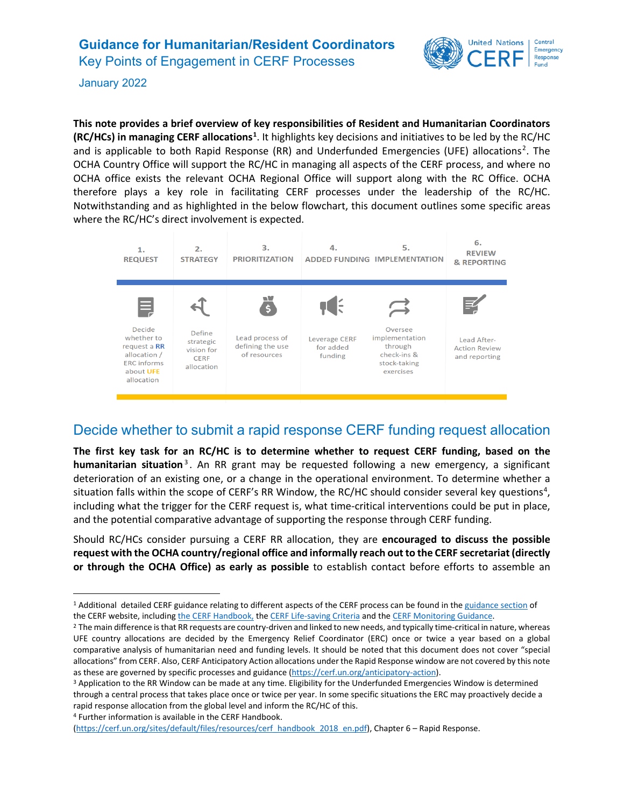## **Guidance for Humanitarian/Resident Coordinators**  Key Points of Engagement in CERF Processes



January 2022

**This note provides a brief overview of key responsibilities of Resident and Humanitarian Coordinators (RC/HCs) in managing CERF allocations[1](#page-0-0)** . It highlights key decisions and initiatives to be led by the RC/HC and is applicable to both Rapid Response (RR) and Underfunded Emergencies (UFE) allocations<sup>[2](#page-0-1)</sup>. The OCHA Country Office will support the RC/HC in managing all aspects of the CERF process, and where no OCHA office exists the relevant OCHA Regional Office will support along with the RC Office. OCHA therefore plays a key role in facilitating CERF processes under the leadership of the RC/HC. Notwithstanding and as highlighted in the below flowchart, this document outlines some specific areas where the RC/HC's direct involvement is expected.



#### Decide whether to submit a rapid response CERF funding request allocation

**The first key task for an RC/HC is to determine whether to request CERF funding, based on the humanitarian situation** [3](#page-0-2) . An RR grant may be requested following a new emergency, a significant deterioration of an existing one, or a change in the operational environment. To determine whether a situation falls within the scope of CERF's RR Window, the RC/HC should consider several key questions<sup>[4](#page-0-3)</sup>, including what the trigger for the CERF request is, what time-critical interventions could be put in place, and the potential comparative advantage of supporting the response through CERF funding.

Should RC/HCs consider pursuing a CERF RR allocation, they are **encouraged to discuss the possible request with the OCHA country/regional office and informally reach out to the CERF secretariat (directly or through the OCHA Office) as early as possible** to establish contact before efforts to assemble an

<span id="page-0-3"></span><sup>4</sup> Further information is available in the CERF Handbook.

<span id="page-0-0"></span><sup>1</sup> Additional detailed CERF guidance relating to different aspects of the CERF process can be found in th[e guidance section](https://cerf.un.org/grant-cycle/guidance-and-templates) of the CERF website, includin[g the CERF Handbook,](https://cerf.un.org/sites/default/files/resources/cerf_handbook_2018_Edited%20V2.pdf) the [CERF Life-saving Criteria](https://cerf.un.org/sites/default/files/resources/CERF%20Life-Saving%20Criteria%202020_2.pdf) and th[e CERF Monitoring Guidance.](https://cerf.un.org/sites/default/files/resources/CERF%20Monitoring%20Guidance_UPDATE.2019_Final.pdf)

<span id="page-0-1"></span><sup>&</sup>lt;sup>2</sup> The main difference is that RR requests are country-driven and linked to new needs, and typically time-critical in nature, whereas UFE country allocations are decided by the Emergency Relief Coordinator (ERC) once or twice a year based on a global comparative analysis of humanitarian need and funding levels. It should be noted that this document does not cover "special allocations" from CERF. Also, CERF Anticipatory Action allocations under the Rapid Response window are not covered by this note as these are governed by specific processes and guidance [\(https://cerf.un.org/anticipatory-action\)](https://cerf.un.org/anticipatory-action).<br><sup>3</sup> Application to the RR Window can be made at any time. Eligibility for the Underfunded Emergencies Window is determined

<span id="page-0-2"></span>through a central process that takes place once or twice per year. In some specific situations the ERC may proactively decide a rapid response allocation from the global level and inform the RC/HC of this.

[<sup>\(</sup>https://cerf.un.org/sites/default/files/resources/cerf\\_handbook\\_2018\\_en.pdf\)](https://cerf.un.org/sites/default/files/resources/cerf_handbook_2018_en.pdf), Chapter 6 – Rapid Response.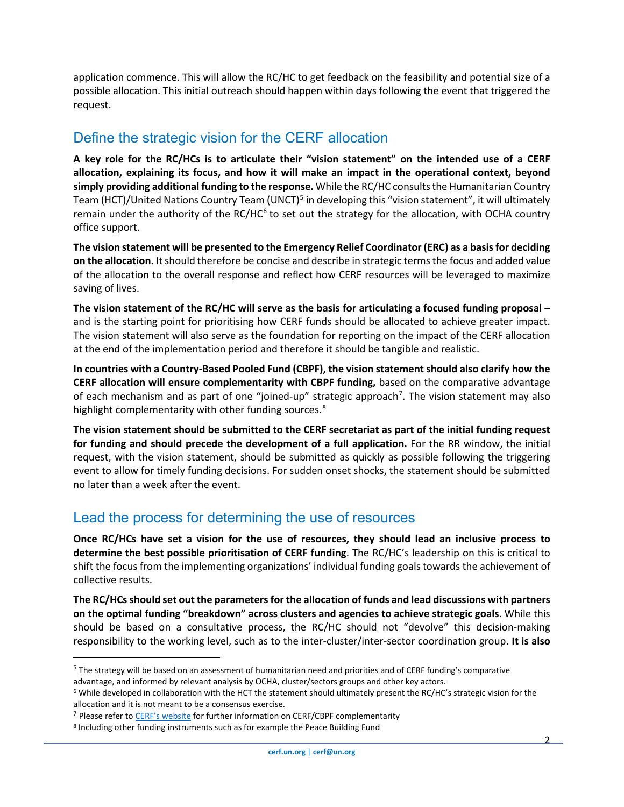application commence. This will allow the RC/HC to get feedback on the feasibility and potential size of a possible allocation. This initial outreach should happen within days following the event that triggered the request.

## Define the strategic vision for the CERF allocation

**A key role for the RC/HCs is to articulate their "vision statement" on the intended use of a CERF allocation, explaining its focus, and how it will make an impact in the operational context, beyond simply providing additional funding to the response.** While the RC/HC consults the Humanitarian Country Team (HCT)/United Nations Country Team (UNCT)<sup>5</sup> in developing this "vision statement", it will ultimately remain under the authority of the RC/HC $<sup>6</sup>$  to set out the strategy for the allocation, with OCHA country</sup> office support.

**The vision statement will be presented to the Emergency Relief Coordinator (ERC) as a basis for deciding on the allocation.** It should therefore be concise and describe in strategic terms the focus and added value of the allocation to the overall response and reflect how CERF resources will be leveraged to maximize saving of lives.

**The vision statement of the RC/HC will serve as the basis for articulating a focused funding proposal –**  and is the starting point for prioritising how CERF funds should be allocated to achieve greater impact. The vision statement will also serve as the foundation for reporting on the impact of the CERF allocation at the end of the implementation period and therefore it should be tangible and realistic.

**In countries with a Country-Based Pooled Fund (CBPF), the vision statement should also clarify how the CERF allocation will ensure complementarity with CBPF funding,** based on the comparative advantage of each mechanism and as part of one "joined-up" strategic approach<sup>[7](#page-1-2)</sup>. The vision statement may also highlight complementarity with other funding sources.<sup>[8](#page-1-3)</sup>

**The vision statement should be submitted to the CERF secretariat as part of the initial funding request for funding and should precede the development of a full application.** For the RR window, the initial request, with the vision statement, should be submitted as quickly as possible following the triggering event to allow for timely funding decisions. For sudden onset shocks, the statement should be submitted no later than a week after the event.

#### Lead the process for determining the use of resources

**Once RC/HCs have set a vision for the use of resources, they should lead an inclusive process to determine the best possible prioritisation of CERF funding**. The RC/HC's leadership on this is critical to shift the focus from the implementing organizations' individual funding goals towards the achievement of collective results.

**The RC/HCs should set out the parameters for the allocation of funds and lead discussions with partners on the optimal funding "breakdown" across clusters and agencies to achieve strategic goals**. While this should be based on a consultative process, the RC/HC should not "devolve" this decision-making responsibility to the working level, such as to the inter-cluster/inter-sector coordination group. **It is also** 

<span id="page-1-0"></span><sup>&</sup>lt;sup>5</sup> The strategy will be based on an assessment of humanitarian need and priorities and of CERF funding's comparative advantage, and informed by relevant analysis by OCHA, cluster/sectors groups and other key actors.

<span id="page-1-1"></span><sup>6</sup> While developed in collaboration with the HCT the statement should ultimately present the RC/HC's strategic vision for the allocation and it is not meant to be a consensus exercise.

<span id="page-1-2"></span><sup>&</sup>lt;sup>7</sup> Please refer to [CERF's website](https://cerf.un.org/partner-resources/research-and-analysis) for further information on CERF/CBPF complementarity

<span id="page-1-3"></span><sup>8</sup> Including other funding instruments such as for example the Peace Building Fund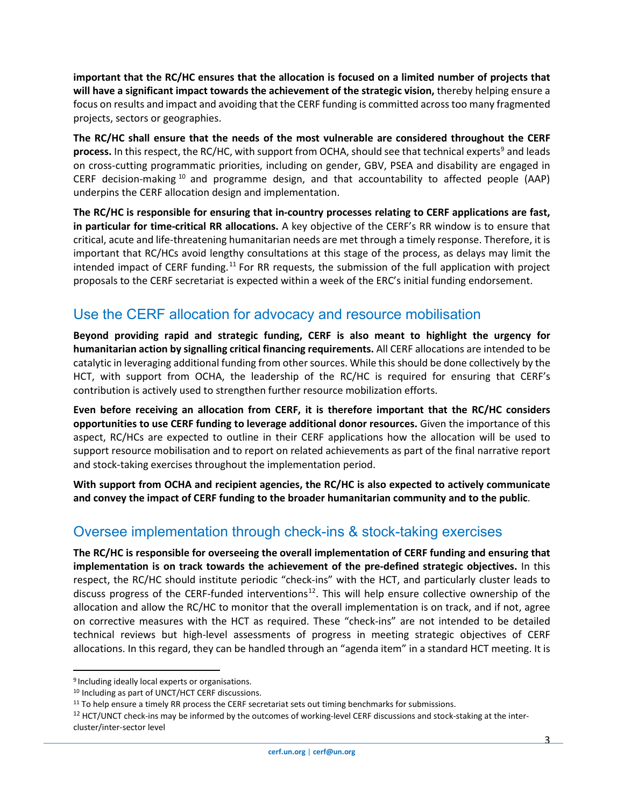**important that the RC/HC ensures that the allocation is focused on a limited number of projects that will have a significant impact towards the achievement of the strategic vision,** thereby helping ensure a focus on results and impact and avoiding that the CERF funding is committed across too many fragmented projects, sectors or geographies.

**The RC/HC shall ensure that the needs of the most vulnerable are considered throughout the CERF process.** In this respect, the RC/HC, with support from OCHA, should see that technical experts<sup>[9](#page-2-0)</sup> and leads on cross-cutting programmatic priorities, including on gender, GBV, PSEA and disability are engaged in CERF decision-making [10](#page-2-1) and programme design, and that accountability to affected people (AAP) underpins the CERF allocation design and implementation.

**The RC/HC is responsible for ensuring that in-country processes relating to CERF applications are fast, in particular for time-critical RR allocations.** A key objective of the CERF's RR window is to ensure that critical, acute and life-threatening humanitarian needs are met through a timely response. Therefore, it is important that RC/HCs avoid lengthy consultations at this stage of the process, as delays may limit the intended impact of CERF funding.<sup>[11](#page-2-2)</sup> For RR requests, the submission of the full application with project proposals to the CERF secretariat is expected within a week of the ERC's initial funding endorsement.

### Use the CERF allocation for advocacy and resource mobilisation

**Beyond providing rapid and strategic funding, CERF is also meant to highlight the urgency for humanitarian action by signalling critical financing requirements.** All CERF allocations are intended to be catalytic in leveraging additional funding from other sources. While this should be done collectively by the HCT, with support from OCHA, the leadership of the RC/HC is required for ensuring that CERF's contribution is actively used to strengthen further resource mobilization efforts.

**Even before receiving an allocation from CERF, it is therefore important that the RC/HC considers opportunities to use CERF funding to leverage additional donor resources.** Given the importance of this aspect, RC/HCs are expected to outline in their CERF applications how the allocation will be used to support resource mobilisation and to report on related achievements as part of the final narrative report and stock-taking exercises throughout the implementation period.

**With support from OCHA and recipient agencies, the RC/HC is also expected to actively communicate and convey the impact of CERF funding to the broader humanitarian community and to the public**.

#### Oversee implementation through check-ins & stock-taking exercises

**The RC/HC is responsible for overseeing the overall implementation of CERF funding and ensuring that implementation is on track towards the achievement of the pre-defined strategic objectives.** In this respect, the RC/HC should institute periodic "check-ins" with the HCT, and particularly cluster leads to discuss progress of the CERF-funded interventions<sup>12</sup>. This will help ensure collective ownership of the allocation and allow the RC/HC to monitor that the overall implementation is on track, and if not, agree on corrective measures with the HCT as required. These "check-ins" are not intended to be detailed technical reviews but high-level assessments of progress in meeting strategic objectives of CERF allocations. In this regard, they can be handled through an "agenda item" in a standard HCT meeting. It is

<span id="page-2-0"></span><sup>9</sup> Including ideally local experts or organisations.

<span id="page-2-1"></span><sup>10</sup> Including as part of UNCT/HCT CERF discussions.

<span id="page-2-3"></span><span id="page-2-2"></span><sup>&</sup>lt;sup>11</sup> To help ensure a timely RR process the CERF secretariat sets out timing benchmarks for submissions.<br><sup>12</sup> HCT/UNCT check-ins may be informed by the outcomes of working-level CERF discussions and stock-staking at the i cluster/inter-sector level